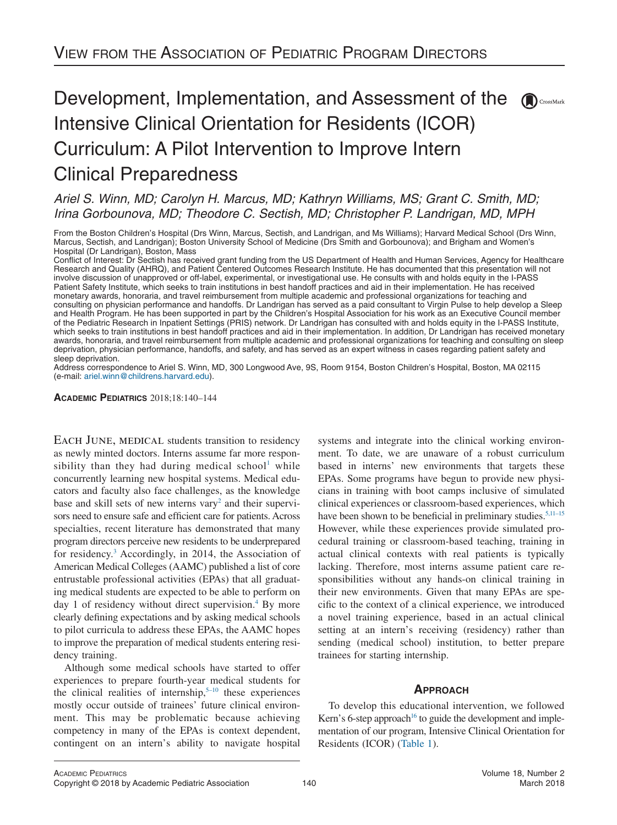# Development, Implementation, and Assessment of the **OR** CrossMark Intensive Clinical Orientation for Residents (ICOR) Curriculum: A Pilot Intervention to Improve Intern Clinical Preparedness

*Ariel S. Winn, MD; Carolyn H. Marcus, MD; Kathryn Williams, MS; Grant C. Smith, MD; Irina Gorbounova, MD; Theodore C. Sectish, MD; Christopher P. Landrigan, MD, MPH*

From the Boston Children's Hospital (Drs Winn, Marcus, Sectish, and Landrigan, and Ms Williams); Harvard Medical School (Drs Winn, Marcus, Sectish, and Landrigan); Boston University School of Medicine (Drs Smith and Gorbounova); and Brigham and Women's Hospital (Dr Landrigan), Boston, Mass

Conflict of Interest: Dr Sectish has received grant funding from the US Department of Health and Human Services, Agency for Healthcare Research and Quality (AHRQ), and Patient Centered Outcomes Research Institute. He has documented that this presentation will not involve discussion of unapproved or off-label, experimental, or investigational use. He consults with and holds equity in the I-PASS Patient Safety Institute, which seeks to train institutions in best handoff practices and aid in their implementation. He has received monetary awards, honoraria, and travel reimbursement from multiple academic and professional organizations for teaching and consulting on physician performance and handoffs. Dr Landrigan has served as a paid consultant to Virgin Pulse to help develop a Sleep and Health Program. He has been supported in part by the Children's Hospital Association for his work as an Executive Council member of the Pediatric Research in Inpatient Settings (PRIS) network. Dr Landrigan has consulted with and holds equity in the I-PASS Institute, which seeks to train institutions in best handoff practices and aid in their implementation. In addition, Dr Landrigan has received monetary awards, honoraria, and travel reimbursement from multiple academic and professional organizations for teaching and consulting on sleep deprivation, physician performance, handoffs, and safety, and has served as an expert witness in cases regarding patient safety and sleep deprivation.

Address correspondence to Ariel S. Winn, MD, 300 Longwood Ave, 9S, Room 9154, Boston Children's Hospital, Boston, MA 02115 (e-mail: [ariel.winn@childrens.harvard.edu\)](mailto:ariel.winn@childrens.harvard.edu).

**ACADEMIC PEDIATRICS** 2018;18:140–144

EACH JUNE, MEDICAL students transition to residency as newly minted doctors. Interns assume far more responsibility than they had during medical school<sup>1</sup> while concurrently learning new hospital systems. Medical educators and faculty also face challenges, as the knowledge base and skill sets of new interns  $\text{var}y^2$  and their supervisors need to ensure safe and efficient care for patients. Across specialties, recent literature has demonstrated that many program directors perceive new residents to be underprepared for residency[.3](#page-3-2) Accordingly, in 2014, the Association of American Medical Colleges (AAMC) published a list of core entrustable professional activities (EPAs) that all graduating medical students are expected to be able to perform on day 1 of residency without direct supervision.<sup>4</sup> By more clearly defining expectations and by asking medical schools to pilot curricula to address these EPAs, the AAMC hopes to improve the preparation of medical students entering residency training.

Although some medical schools have started to offer experiences to prepare fourth-year medical students for the clinical realities of internship, $5-10$  these experiences mostly occur outside of trainees' future clinical environment. This may be problematic because achieving competency in many of the EPAs is context dependent, contingent on an intern's ability to navigate hospital

systems and integrate into the clinical working environment. To date, we are unaware of a robust curriculum based in interns' new environments that targets these EPAs. Some programs have begun to provide new physicians in training with boot camps inclusive of simulated clinical experiences or classroom-based experiences, which have been shown to be beneficial in preliminary studies.<sup>5,11–15</sup> However, while these experiences provide simulated procedural training or classroom-based teaching, training in actual clinical contexts with real patients is typically lacking. Therefore, most interns assume patient care responsibilities without any hands-on clinical training in their new environments. Given that many EPAs are specific to the context of a clinical experience, we introduced a novel training experience, based in an actual clinical setting at an intern's receiving (residency) rather than sending (medical school) institution, to better prepare trainees for starting internship.

# **APPROACH**

To develop this educational intervention, we followed Kern's 6-step approach<sup>16</sup> to guide the development and implementation of our program, Intensive Clinical Orientation for Residents (ICOR) [\(Table 1\)](#page-1-0).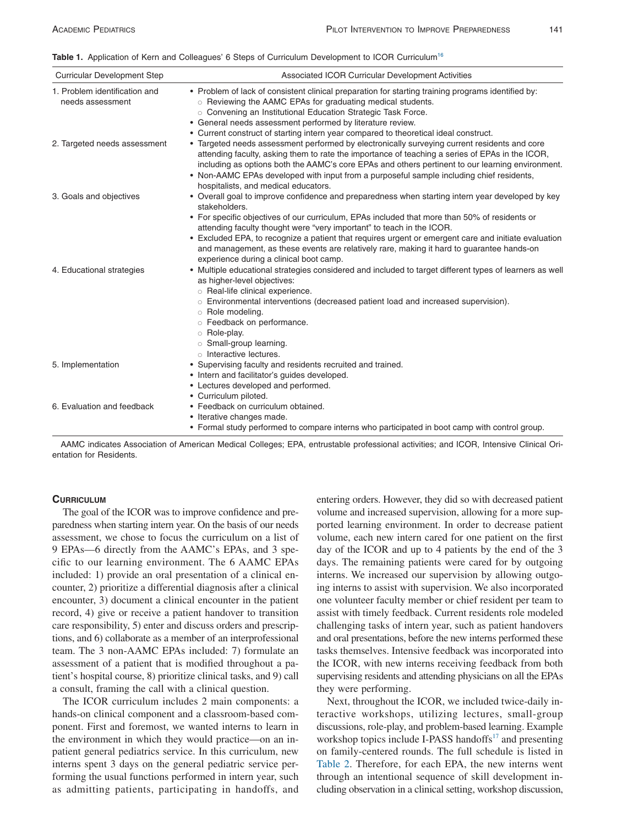#### <span id="page-1-0"></span>Table 1. Application of Kern and Colleagues' 6 Steps of Curriculum Development to ICOR Curriculum<sup>16</sup>

| <b>Curricular Development Step</b>                | Associated ICOR Curricular Development Activities                                                                                                                                                                                                                                                                                                                                                                                                                                                                                           |  |  |
|---------------------------------------------------|---------------------------------------------------------------------------------------------------------------------------------------------------------------------------------------------------------------------------------------------------------------------------------------------------------------------------------------------------------------------------------------------------------------------------------------------------------------------------------------------------------------------------------------------|--|--|
| 1. Problem identification and<br>needs assessment | • Problem of lack of consistent clinical preparation for starting training programs identified by:<br>o Reviewing the AAMC EPAs for graduating medical students.<br>○ Convening an Institutional Education Strategic Task Force.<br>• General needs assessment performed by literature review.<br>• Current construct of starting intern year compared to theoretical ideal construct.                                                                                                                                                      |  |  |
| 2. Targeted needs assessment                      | • Targeted needs assessment performed by electronically surveying current residents and core<br>attending faculty, asking them to rate the importance of teaching a series of EPAs in the ICOR,<br>including as options both the AAMC's core EPAs and others pertinent to our learning environment.<br>• Non-AAMC EPAs developed with input from a purposeful sample including chief residents,<br>hospitalists, and medical educators.                                                                                                     |  |  |
| 3. Goals and objectives                           | • Overall goal to improve confidence and preparedness when starting intern year developed by key<br>stakeholders.<br>• For specific objectives of our curriculum, EPAs included that more than 50% of residents or<br>attending faculty thought were "very important" to teach in the ICOR.<br>• Excluded EPA, to recognize a patient that requires urgent or emergent care and initiate evaluation<br>and management, as these events are relatively rare, making it hard to guarantee hands-on<br>experience during a clinical boot camp. |  |  |
| 4. Educational strategies                         | • Multiple educational strategies considered and included to target different types of learners as well<br>as higher-level objectives:<br><b>O</b> Real-life clinical experience.<br>$\circ$ Environmental interventions (decreased patient load and increased supervision).<br>○ Role modeling.<br><b>C</b> Feedback on performance.<br>○ Role-play.<br>Small-group learning.<br>$\circ$ Interactive lectures.                                                                                                                             |  |  |
| 5. Implementation                                 | • Supervising faculty and residents recruited and trained.<br>• Intern and facilitator's guides developed.<br>• Lectures developed and performed.<br>• Curriculum piloted.                                                                                                                                                                                                                                                                                                                                                                  |  |  |
| 6. Evaluation and feedback                        | • Feedback on curriculum obtained.<br>• Iterative changes made.<br>• Formal study performed to compare interns who participated in boot camp with control group.                                                                                                                                                                                                                                                                                                                                                                            |  |  |

AAMC indicates Association of American Medical Colleges; EPA, entrustable professional activities; and ICOR, Intensive Clinical Orientation for Residents.

#### **CURRICULUM**

The goal of the ICOR was to improve confidence and preparedness when starting intern year. On the basis of our needs assessment, we chose to focus the curriculum on a list of 9 EPAs—6 directly from the AAMC's EPAs, and 3 specific to our learning environment. The 6 AAMC EPAs included: 1) provide an oral presentation of a clinical encounter, 2) prioritize a differential diagnosis after a clinical encounter, 3) document a clinical encounter in the patient record, 4) give or receive a patient handover to transition care responsibility, 5) enter and discuss orders and prescriptions, and 6) collaborate as a member of an interprofessional team. The 3 non-AAMC EPAs included: 7) formulate an assessment of a patient that is modified throughout a patient's hospital course, 8) prioritize clinical tasks, and 9) call a consult, framing the call with a clinical question.

The ICOR curriculum includes 2 main components: a hands-on clinical component and a classroom-based component. First and foremost, we wanted interns to learn in the environment in which they would practice—on an inpatient general pediatrics service. In this curriculum, new interns spent 3 days on the general pediatric service performing the usual functions performed in intern year, such as admitting patients, participating in handoffs, and

entering orders. However, they did so with decreased patient volume and increased supervision, allowing for a more supported learning environment. In order to decrease patient volume, each new intern cared for one patient on the first day of the ICOR and up to 4 patients by the end of the 3 days. The remaining patients were cared for by outgoing interns. We increased our supervision by allowing outgoing interns to assist with supervision. We also incorporated one volunteer faculty member or chief resident per team to assist with timely feedback. Current residents role modeled challenging tasks of intern year, such as patient handovers and oral presentations, before the new interns performed these tasks themselves. Intensive feedback was incorporated into the ICOR, with new interns receiving feedback from both supervising residents and attending physicians on all the EPAs they were performing.

Next, throughout the ICOR, we included twice-daily interactive workshops, utilizing lectures, small-group discussions, role-play, and problem-based learning. Example workshop topics include I-PASS handoffs<sup>17</sup> and presenting on family-centered rounds. The full schedule is listed in [Table 2.](#page-2-0) Therefore, for each EPA, the new interns went through an intentional sequence of skill development including observation in a clinical setting, workshop discussion,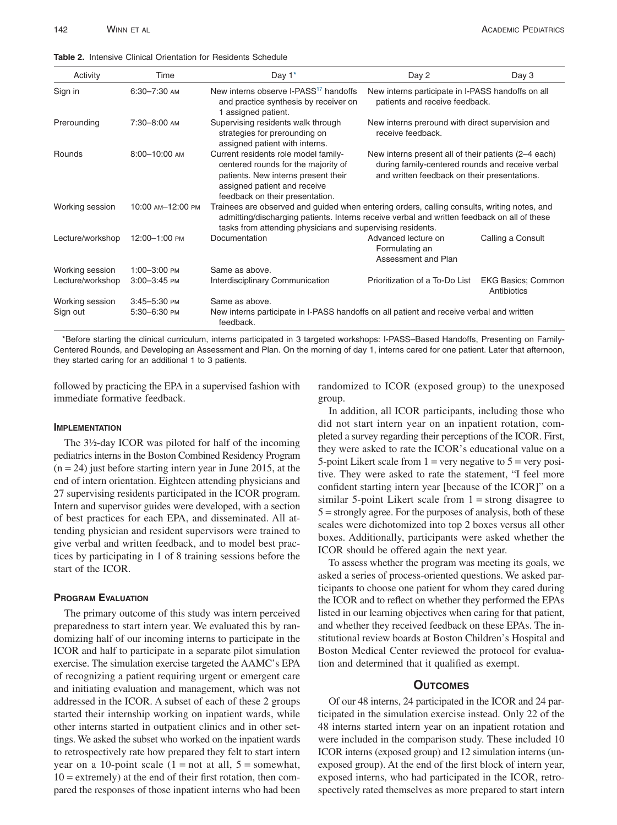<span id="page-2-0"></span>

| <b>Table 2.</b> Intensive Clinical Orientation for Residents Schedule |
|-----------------------------------------------------------------------|
|-----------------------------------------------------------------------|

| Activity         | Time              | Day $1^*$                                                                                                                                                                                                                                                | Day 2                                                                                                                                                    | Day 3                                    |  |  |
|------------------|-------------------|----------------------------------------------------------------------------------------------------------------------------------------------------------------------------------------------------------------------------------------------------------|----------------------------------------------------------------------------------------------------------------------------------------------------------|------------------------------------------|--|--|
| Sign in          | $6:30 - 7:30$ AM  | New interns observe I-PASS <sup>17</sup> handoffs<br>and practice synthesis by receiver on<br>1 assigned patient.                                                                                                                                        | New interns participate in I-PASS handoffs on all<br>patients and receive feedback.                                                                      |                                          |  |  |
| Prerounding      | 7:30-8:00 AM      | Supervising residents walk through<br>strategies for prerounding on<br>assigned patient with interns.                                                                                                                                                    | New interns preround with direct supervision and<br>receive feedback.                                                                                    |                                          |  |  |
| Rounds           | 8:00-10:00 AM     | Current residents role model family-<br>centered rounds for the majority of<br>patients. New interns present their<br>assigned patient and receive<br>feedback on their presentation.                                                                    | New interns present all of their patients (2–4 each)<br>during family-centered rounds and receive verbal<br>and written feedback on their presentations. |                                          |  |  |
| Working session  | 10:00 AM-12:00 PM | Trainees are observed and guided when entering orders, calling consults, writing notes, and<br>admitting/discharging patients. Interns receive verbal and written feedback on all of these<br>tasks from attending physicians and supervising residents. |                                                                                                                                                          |                                          |  |  |
| Lecture/workshop | 12:00-1:00 PM     | Documentation                                                                                                                                                                                                                                            | Advanced lecture on<br>Formulating an<br>Assessment and Plan                                                                                             | Calling a Consult                        |  |  |
| Working session  | $1:00 - 3:00$ PM  | Same as above.                                                                                                                                                                                                                                           |                                                                                                                                                          |                                          |  |  |
| Lecture/workshop | $3:00 - 3:45$ PM  | Interdisciplinary Communication                                                                                                                                                                                                                          | Prioritization of a To-Do List                                                                                                                           | <b>EKG Basics; Common</b><br>Antibiotics |  |  |
| Working session  | $3:45 - 5:30$ PM  | Same as above.                                                                                                                                                                                                                                           |                                                                                                                                                          |                                          |  |  |
| Sign out         | 5:30-6:30 PM      | New interns participate in I-PASS handoffs on all patient and receive verbal and written<br>feedback.                                                                                                                                                    |                                                                                                                                                          |                                          |  |  |

<span id="page-2-1"></span>\*Before starting the clinical curriculum, interns participated in 3 targeted workshops: I-PASS–Based Handoffs, Presenting on Family-Centered Rounds, and Developing an Assessment and Plan. On the morning of day 1, interns cared for one patient. Later that afternoon, they started caring for an additional 1 to 3 patients.

followed by practicing the EPA in a supervised fashion with immediate formative feedback.

## **IMPLEMENTATION**

The 3½-day ICOR was piloted for half of the incoming pediatrics interns in the Boston Combined Residency Program  $(n = 24)$  just before starting intern year in June 2015, at the end of intern orientation. Eighteen attending physicians and 27 supervising residents participated in the ICOR program. Intern and supervisor guides were developed, with a section of best practices for each EPA, and disseminated. All attending physician and resident supervisors were trained to give verbal and written feedback, and to model best practices by participating in 1 of 8 training sessions before the start of the ICOR.

#### **PROGRAM EVALUATION**

The primary outcome of this study was intern perceived preparedness to start intern year. We evaluated this by randomizing half of our incoming interns to participate in the ICOR and half to participate in a separate pilot simulation exercise. The simulation exercise targeted the AAMC's EPA of recognizing a patient requiring urgent or emergent care and initiating evaluation and management, which was not addressed in the ICOR. A subset of each of these 2 groups started their internship working on inpatient wards, while other interns started in outpatient clinics and in other settings. We asked the subset who worked on the inpatient wards to retrospectively rate how prepared they felt to start intern year on a 10-point scale  $(1 = not at all, 5 = somewhat,$  $10 =$  extremely) at the end of their first rotation, then compared the responses of those inpatient interns who had been randomized to ICOR (exposed group) to the unexposed group.

In addition, all ICOR participants, including those who did not start intern year on an inpatient rotation, completed a survey regarding their perceptions of the ICOR. First, they were asked to rate the ICOR's educational value on a 5-point Likert scale from  $1 = \text{very negative to } 5 = \text{very posi-}$ tive. They were asked to rate the statement, "I feel more confident starting intern year [because of the ICOR]" on a similar 5-point Likert scale from  $1 =$  strong disagree to 5 = strongly agree. For the purposes of analysis, both of these scales were dichotomized into top 2 boxes versus all other boxes. Additionally, participants were asked whether the ICOR should be offered again the next year.

To assess whether the program was meeting its goals, we asked a series of process-oriented questions. We asked participants to choose one patient for whom they cared during the ICOR and to reflect on whether they performed the EPAs listed in our learning objectives when caring for that patient, and whether they received feedback on these EPAs. The institutional review boards at Boston Children's Hospital and Boston Medical Center reviewed the protocol for evaluation and determined that it qualified as exempt.

#### **OUTCOMES**

Of our 48 interns, 24 participated in the ICOR and 24 participated in the simulation exercise instead. Only 22 of the 48 interns started intern year on an inpatient rotation and were included in the comparison study. These included 10 ICOR interns (exposed group) and 12 simulation interns (unexposed group). At the end of the first block of intern year, exposed interns, who had participated in the ICOR, retrospectively rated themselves as more prepared to start intern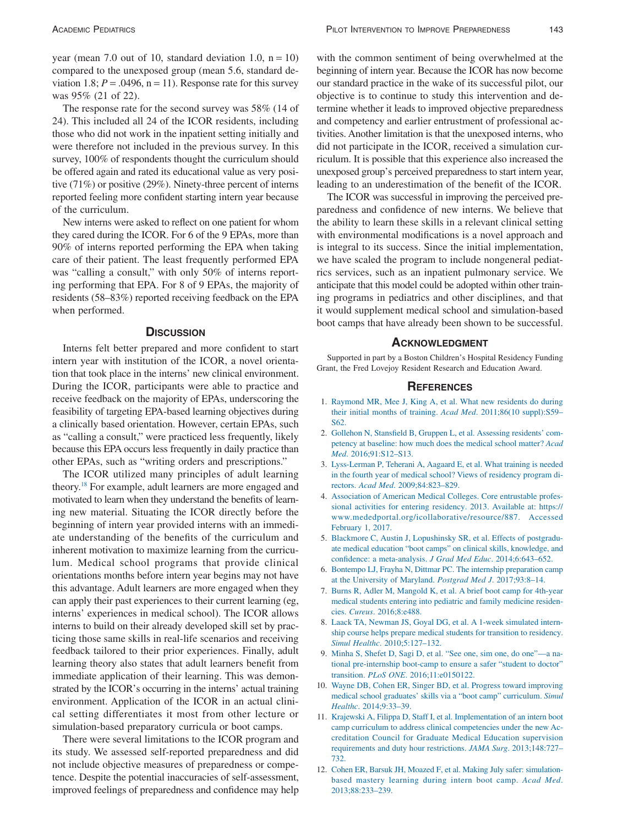year (mean 7.0 out of 10, standard deviation 1.0,  $n = 10$ ) compared to the unexposed group (mean 5.6, standard deviation 1.8;  $P = .0496$ ,  $n = 11$ ). Response rate for this survey was 95% (21 of 22).

The response rate for the second survey was 58% (14 of 24). This included all 24 of the ICOR residents, including those who did not work in the inpatient setting initially and were therefore not included in the previous survey. In this survey, 100% of respondents thought the curriculum should be offered again and rated its educational value as very positive (71%) or positive (29%). Ninety-three percent of interns reported feeling more confident starting intern year because of the curriculum.

New interns were asked to reflect on one patient for whom they cared during the ICOR. For 6 of the 9 EPAs, more than 90% of interns reported performing the EPA when taking care of their patient. The least frequently performed EPA was "calling a consult," with only 50% of interns reporting performing that EPA. For 8 of 9 EPAs, the majority of residents (58–83%) reported receiving feedback on the EPA when performed.

## **DISCUSSION**

Interns felt better prepared and more confident to start intern year with institution of the ICOR, a novel orientation that took place in the interns' new clinical environment. During the ICOR, participants were able to practice and receive feedback on the majority of EPAs, underscoring the feasibility of targeting EPA-based learning objectives during a clinically based orientation. However, certain EPAs, such as "calling a consult," were practiced less frequently, likely because this EPA occurs less frequently in daily practice than other EPAs, such as "writing orders and prescriptions."

The ICOR utilized many principles of adult learning theory[.18](#page-4-2) For example, adult learners are more engaged and motivated to learn when they understand the benefits of learning new material. Situating the ICOR directly before the beginning of intern year provided interns with an immediate understanding of the benefits of the curriculum and inherent motivation to maximize learning from the curriculum. Medical school programs that provide clinical orientations months before intern year begins may not have this advantage. Adult learners are more engaged when they can apply their past experiences to their current learning (eg, interns' experiences in medical school). The ICOR allows interns to build on their already developed skill set by practicing those same skills in real-life scenarios and receiving feedback tailored to their prior experiences. Finally, adult learning theory also states that adult learners benefit from immediate application of their learning. This was demonstrated by the ICOR's occurring in the interns' actual training environment. Application of the ICOR in an actual clinical setting differentiates it most from other lecture or simulation-based preparatory curricula or boot camps.

There were several limitations to the ICOR program and its study. We assessed self-reported preparedness and did not include objective measures of preparedness or competence. Despite the potential inaccuracies of self-assessment, improved feelings of preparedness and confidence may help with the common sentiment of being overwhelmed at the beginning of intern year. Because the ICOR has now become our standard practice in the wake of its successful pilot, our objective is to continue to study this intervention and determine whether it leads to improved objective preparedness and competency and earlier entrustment of professional activities. Another limitation is that the unexposed interns, who did not participate in the ICOR, received a simulation curriculum. It is possible that this experience also increased the unexposed group's perceived preparedness to start intern year, leading to an underestimation of the benefit of the ICOR.

The ICOR was successful in improving the perceived preparedness and confidence of new interns. We believe that the ability to learn these skills in a relevant clinical setting with environmental modifications is a novel approach and is integral to its success. Since the initial implementation, we have scaled the program to include nongeneral pediatrics services, such as an inpatient pulmonary service. We anticipate that this model could be adopted within other training programs in pediatrics and other disciplines, and that it would supplement medical school and simulation-based boot camps that have already been shown to be successful.

#### **ACKNOWLEDGMENT**

Supported in part by a Boston Children's Hospital Residency Funding Grant, the Fred Lovejoy Resident Research and Education Award.

#### **REFERENCES**

- <span id="page-3-0"></span>1. [Raymond MR, Mee J, King A, et al. What new residents do during](http://refhub.elsevier.com/S1876-2859(17)30565-X/sr0010) [their initial months of training.](http://refhub.elsevier.com/S1876-2859(17)30565-X/sr0010) *Acad Med*. 2011;86(10 suppl):S59– [S62.](http://refhub.elsevier.com/S1876-2859(17)30565-X/sr0010)
- <span id="page-3-1"></span>2. [Gollehon N, Stansfield B, Gruppen L, et al. Assessing residents' com](http://refhub.elsevier.com/S1876-2859(17)30565-X/sr0015)[petency at baseline: how much does the medical school matter?](http://refhub.elsevier.com/S1876-2859(17)30565-X/sr0015) *Acad Med*[. 2016;91:S12–S13.](http://refhub.elsevier.com/S1876-2859(17)30565-X/sr0015)
- <span id="page-3-2"></span>3. [Lyss-Lerman P, Teherani A, Aagaard E, et al. What training is needed](http://refhub.elsevier.com/S1876-2859(17)30565-X/sr0020) [in the fourth year of medical school? Views of residency program di](http://refhub.elsevier.com/S1876-2859(17)30565-X/sr0020)rectors. *Acad Med*[. 2009;84:823–829.](http://refhub.elsevier.com/S1876-2859(17)30565-X/sr0020)
- <span id="page-3-3"></span>4. [Association of American Medical Colleges. Core entrustable profes](http://refhub.elsevier.com/S1876-2859(17)30565-X/sr0025)sional activities for entering residency. 2013. Available at: [https://](https://www.mededportal.org/icollaborative/resource/887) [www.mededportal.org/icollaborative/resource/887.](https://www.mededportal.org/icollaborative/resource/887) Accessed February 1, 2017.
- <span id="page-3-4"></span>5. [Blackmore C, Austin J, Lopushinsky SR, et al. Effects of postgradu](http://refhub.elsevier.com/S1876-2859(17)30565-X/sr0030)[ate medical education "boot camps" on clinical skills, knowledge, and](http://refhub.elsevier.com/S1876-2859(17)30565-X/sr0030) [confidence: a meta-analysis.](http://refhub.elsevier.com/S1876-2859(17)30565-X/sr0030) *J Grad Med Educ*. 2014;6:643–652.
- 6. [Bontempo LJ, Frayha N, Dittmar PC. The internship preparation camp](http://refhub.elsevier.com/S1876-2859(17)30565-X/sr0035) [at the University of Maryland.](http://refhub.elsevier.com/S1876-2859(17)30565-X/sr0035) *Postgrad Med J*. 2017;93:8–14.
- 7. [Burns R, Adler M, Mangold K, et al. A brief boot camp for 4th-year](http://refhub.elsevier.com/S1876-2859(17)30565-X/sr0040) [medical students entering into pediatric and family medicine residen](http://refhub.elsevier.com/S1876-2859(17)30565-X/sr0040)cies. *Cureus*[. 2016;8:e488.](http://refhub.elsevier.com/S1876-2859(17)30565-X/sr0040)
- 8. [Laack TA, Newman JS, Goyal DG, et al. A 1-week simulated intern](http://refhub.elsevier.com/S1876-2859(17)30565-X/sr0045)[ship course helps prepare medical students for transition to residency.](http://refhub.elsevier.com/S1876-2859(17)30565-X/sr0045) *Simul Healthc*[. 2010;5:127–132.](http://refhub.elsevier.com/S1876-2859(17)30565-X/sr0045)
- 9. [Minha S, Shefet D, Sagi D, et al. "See one, sim one, do one"—a na](http://refhub.elsevier.com/S1876-2859(17)30565-X/sr0050)[tional pre-internship boot-camp to ensure a safer "student to doctor"](http://refhub.elsevier.com/S1876-2859(17)30565-X/sr0050) transition. *PLoS ONE*[. 2016;11:e0150122.](http://refhub.elsevier.com/S1876-2859(17)30565-X/sr0050)
- 10. [Wayne DB, Cohen ER, Singer BD, et al. Progress toward improving](http://refhub.elsevier.com/S1876-2859(17)30565-X/sr0055) [medical school graduates' skills via a "boot camp" curriculum.](http://refhub.elsevier.com/S1876-2859(17)30565-X/sr0055) *Simul Healthc*[. 2014;9:33–39.](http://refhub.elsevier.com/S1876-2859(17)30565-X/sr0055)
- 11. [Krajewski A, Filippa D, Staff I, et al. Implementation of an intern boot](http://refhub.elsevier.com/S1876-2859(17)30565-X/sr0060) [camp curriculum to address clinical competencies under the new Ac](http://refhub.elsevier.com/S1876-2859(17)30565-X/sr0060)[creditation Council for Graduate Medical Education supervision](http://refhub.elsevier.com/S1876-2859(17)30565-X/sr0060) [requirements and duty hour restrictions.](http://refhub.elsevier.com/S1876-2859(17)30565-X/sr0060) *JAMA Surg*. 2013;148:727– [732.](http://refhub.elsevier.com/S1876-2859(17)30565-X/sr0060)
- 12. [Cohen ER, Barsuk JH, Moazed F, et al. Making July safer: simulation](http://refhub.elsevier.com/S1876-2859(17)30565-X/sr0065)[based mastery learning during intern boot camp.](http://refhub.elsevier.com/S1876-2859(17)30565-X/sr0065) *Acad Med*. [2013;88:233–239.](http://refhub.elsevier.com/S1876-2859(17)30565-X/sr0065)